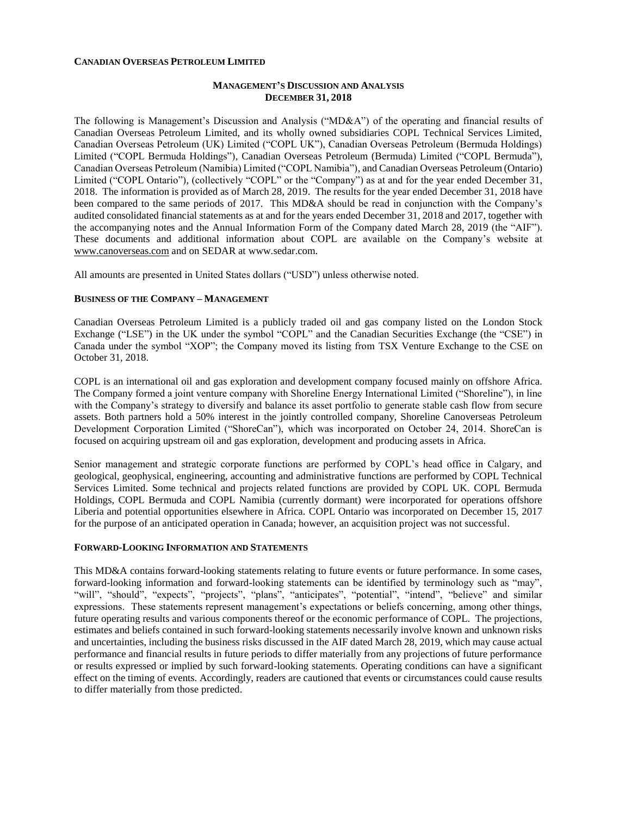#### **CANADIAN OVERSEAS PETROLEUM LIMITED**

### **MANAGEMENT'S DISCUSSION AND ANALYSIS DECEMBER 31, 2018**

The following is Management's Discussion and Analysis ("MD&A") of the operating and financial results of Canadian Overseas Petroleum Limited, and its wholly owned subsidiaries COPL Technical Services Limited, Canadian Overseas Petroleum (UK) Limited ("COPL UK"), Canadian Overseas Petroleum (Bermuda Holdings) Limited ("COPL Bermuda Holdings"), Canadian Overseas Petroleum (Bermuda) Limited ("COPL Bermuda"), Canadian Overseas Petroleum (Namibia) Limited ("COPL Namibia"), and Canadian Overseas Petroleum (Ontario) Limited ("COPL Ontario"), (collectively "COPL" or the "Company") as at and for the year ended December 31, 2018. The information is provided as of March 28, 2019. The results for the year ended December 31, 2018 have been compared to the same periods of 2017. This MD&A should be read in conjunction with the Company's audited consolidated financial statements as at and for the years ended December 31, 2018 and 2017, together with the accompanying notes and the Annual Information Form of the Company dated March 28, 2019 (the "AIF"). These documents and additional information about COPL are available on the Company's website at [www.canoverseas.com](http://www.canoverseas.com/) and on SEDAR at [www.sedar.com.](http://www.sedar.com/)

All amounts are presented in United States dollars ("USD") unless otherwise noted.

#### **BUSINESS OF THE COMPANY – MANAGEMENT**

Canadian Overseas Petroleum Limited is a publicly traded oil and gas company listed on the London Stock Exchange ("LSE") in the UK under the symbol "COPL" and the Canadian Securities Exchange (the "CSE") in Canada under the symbol "XOP"; the Company moved its listing from TSX Venture Exchange to the CSE on October 31, 2018.

COPL is an international oil and gas exploration and development company focused mainly on offshore Africa. The Company formed a joint venture company with Shoreline Energy International Limited ("Shoreline"), in line with the Company's strategy to diversify and balance its asset portfolio to generate stable cash flow from secure assets. Both partners hold a 50% interest in the jointly controlled company, Shoreline Canoverseas Petroleum Development Corporation Limited ("ShoreCan"), which was incorporated on October 24, 2014. ShoreCan is focused on acquiring upstream oil and gas exploration, development and producing assets in Africa.

Senior management and strategic corporate functions are performed by COPL's head office in Calgary, and geological, geophysical, engineering, accounting and administrative functions are performed by COPL Technical Services Limited. Some technical and projects related functions are provided by COPL UK. COPL Bermuda Holdings, COPL Bermuda and COPL Namibia (currently dormant) were incorporated for operations offshore Liberia and potential opportunities elsewhere in Africa. COPL Ontario was incorporated on December 15, 2017 for the purpose of an anticipated operation in Canada; however, an acquisition project was not successful.

#### **FORWARD-LOOKING INFORMATION AND STATEMENTS**

This MD&A contains forward-looking statements relating to future events or future performance. In some cases, forward-looking information and forward-looking statements can be identified by terminology such as "may", "will", "should", "expects", "projects", "plans", "anticipates", "potential", "intend", "believe" and similar expressions. These statements represent management's expectations or beliefs concerning, among other things, future operating results and various components thereof or the economic performance of COPL. The projections, estimates and beliefs contained in such forward-looking statements necessarily involve known and unknown risks and uncertainties, including the business risks discussed in the AIF dated March 28, 2019, which may cause actual performance and financial results in future periods to differ materially from any projections of future performance or results expressed or implied by such forward-looking statements. Operating conditions can have a significant effect on the timing of events. Accordingly, readers are cautioned that events or circumstances could cause results to differ materially from those predicted.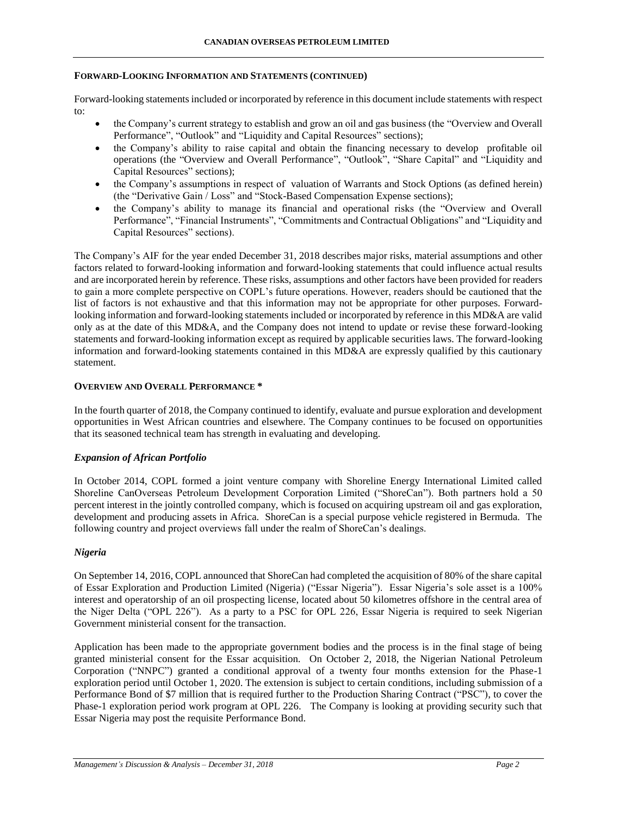#### **FORWARD-LOOKING INFORMATION AND STATEMENTS (CONTINUED)**

Forward-looking statements included or incorporated by reference in this document include statements with respect to:

- the Company's current strategy to establish and grow an oil and gas business (the "Overview and Overall Performance", "Outlook" and "Liquidity and Capital Resources" sections);
- the Company's ability to raise capital and obtain the financing necessary to develop profitable oil operations (the "Overview and Overall Performance", "Outlook", "Share Capital" and "Liquidity and Capital Resources" sections);
- the Company's assumptions in respect of valuation of Warrants and Stock Options (as defined herein) (the "Derivative Gain / Loss" and "Stock-Based Compensation Expense sections);
- the Company's ability to manage its financial and operational risks (the "Overview and Overall Performance", "Financial Instruments", "Commitments and Contractual Obligations" and "Liquidity and Capital Resources" sections).

The Company's AIF for the year ended December 31, 2018 describes major risks, material assumptions and other factors related to forward-looking information and forward-looking statements that could influence actual results and are incorporated herein by reference. These risks, assumptions and other factors have been provided for readers to gain a more complete perspective on COPL's future operations. However, readers should be cautioned that the list of factors is not exhaustive and that this information may not be appropriate for other purposes. Forwardlooking information and forward-looking statements included or incorporated by reference in this MD&A are valid only as at the date of this MD&A, and the Company does not intend to update or revise these forward-looking statements and forward-looking information except as required by applicable securities laws. The forward-looking information and forward-looking statements contained in this MD&A are expressly qualified by this cautionary statement.

### **OVERVIEW AND OVERALL PERFORMANCE \***

In the fourth quarter of 2018, the Company continued to identify, evaluate and pursue exploration and development opportunities in West African countries and elsewhere. The Company continues to be focused on opportunities that its seasoned technical team has strength in evaluating and developing.

# *Expansion of African Portfolio*

In October 2014, COPL formed a joint venture company with Shoreline Energy International Limited called Shoreline CanOverseas Petroleum Development Corporation Limited ("ShoreCan"). Both partners hold a 50 percent interest in the jointly controlled company, which is focused on acquiring upstream oil and gas exploration, development and producing assets in Africa. ShoreCan is a special purpose vehicle registered in Bermuda. The following country and project overviews fall under the realm of ShoreCan's dealings.

# *Nigeria*

On September 14, 2016, COPL announced that ShoreCan had completed the acquisition of 80% of the share capital of Essar Exploration and Production Limited (Nigeria) ("Essar Nigeria"). Essar Nigeria's sole asset is a 100% interest and operatorship of an oil prospecting license, located about 50 kilometres offshore in the central area of the Niger Delta ("OPL 226"). As a party to a PSC for OPL 226, Essar Nigeria is required to seek Nigerian Government ministerial consent for the transaction.

Application has been made to the appropriate government bodies and the process is in the final stage of being granted ministerial consent for the Essar acquisition. On October 2, 2018, the Nigerian National Petroleum Corporation ("NNPC") granted a conditional approval of a twenty four months extension for the Phase-1 exploration period until October 1, 2020. The extension is subject to certain conditions, including submission of a Performance Bond of \$7 million that is required further to the Production Sharing Contract ("PSC"), to cover the Phase-1 exploration period work program at OPL 226. The Company is looking at providing security such that Essar Nigeria may post the requisite Performance Bond.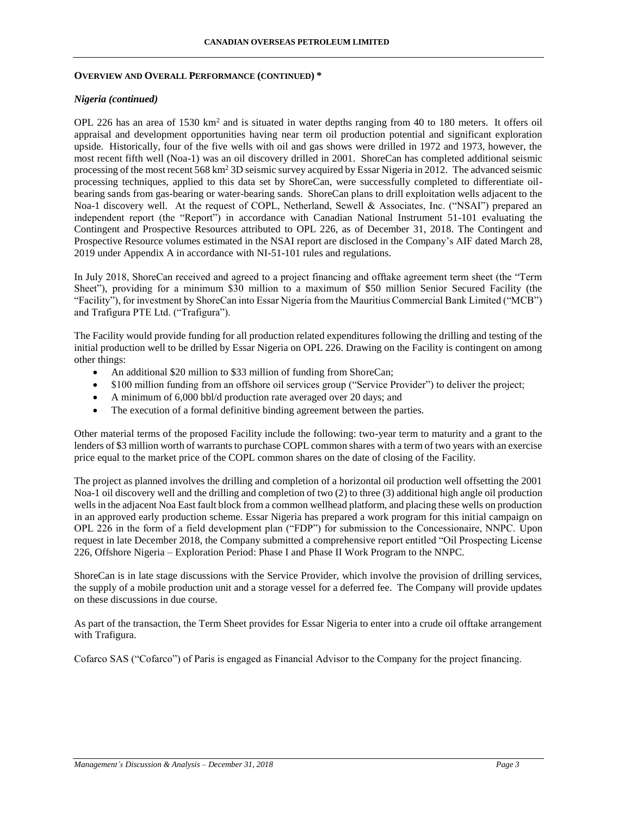#### **OVERVIEW AND OVERALL PERFORMANCE (CONTINUED) \***

### *Nigeria (continued)*

OPL 226 has an area of 1530  $km^2$  and is situated in water depths ranging from 40 to 180 meters. It offers oil appraisal and development opportunities having near term oil production potential and significant exploration upside. Historically, four of the five wells with oil and gas shows were drilled in 1972 and 1973, however, the most recent fifth well (Noa-1) was an oil discovery drilled in 2001. ShoreCan has completed additional seismic processing of the most recent 568 km<sup>2</sup> 3D seismic survey acquired by Essar Nigeria in 2012. The advanced seismic processing techniques, applied to this data set by ShoreCan, were successfully completed to differentiate oilbearing sands from gas-bearing or water-bearing sands. ShoreCan plans to drill exploitation wells adjacent to the Noa-1 discovery well. At the request of COPL, Netherland, Sewell & Associates, Inc. ("NSAI") prepared an independent report (the "Report") in accordance with Canadian National Instrument 51-101 evaluating the Contingent and Prospective Resources attributed to OPL 226, as of December 31, 2018. The Contingent and Prospective Resource volumes estimated in the NSAI report are disclosed in the Company's AIF dated March 28, 2019 under Appendix A in accordance with NI-51-101 rules and regulations.

In July 2018, ShoreCan received and agreed to a project financing and offtake agreement term sheet (the "Term Sheet"), providing for a minimum \$30 million to a maximum of \$50 million Senior Secured Facility (the "Facility"), for investment by ShoreCan into Essar Nigeria from the Mauritius Commercial Bank Limited ("MCB") and Trafigura PTE Ltd. ("Trafigura").

The Facility would provide funding for all production related expenditures following the drilling and testing of the initial production well to be drilled by Essar Nigeria on OPL 226. Drawing on the Facility is contingent on among other things:

- An additional \$20 million to \$33 million of funding from ShoreCan;
- \$100 million funding from an offshore oil services group ("Service Provider") to deliver the project;
- A minimum of 6,000 bbl/d production rate averaged over 20 days; and
- The execution of a formal definitive binding agreement between the parties.

Other material terms of the proposed Facility include the following: two-year term to maturity and a grant to the lenders of \$3 million worth of warrants to purchase COPL common shares with a term of two years with an exercise price equal to the market price of the COPL common shares on the date of closing of the Facility.

The project as planned involves the drilling and completion of a horizontal oil production well offsetting the 2001 Noa-1 oil discovery well and the drilling and completion of two (2) to three (3) additional high angle oil production wells in the adjacent Noa East fault block from a common wellhead platform, and placing these wells on production in an approved early production scheme. Essar Nigeria has prepared a work program for this initial campaign on OPL 226 in the form of a field development plan ("FDP") for submission to the Concessionaire, NNPC. Upon request in late December 2018, the Company submitted a comprehensive report entitled "Oil Prospecting License 226, Offshore Nigeria – Exploration Period: Phase I and Phase II Work Program to the NNPC.

ShoreCan is in late stage discussions with the Service Provider, which involve the provision of drilling services, the supply of a mobile production unit and a storage vessel for a deferred fee. The Company will provide updates on these discussions in due course.

As part of the transaction, the Term Sheet provides for Essar Nigeria to enter into a crude oil offtake arrangement with Trafigura.

Cofarco SAS ("Cofarco") of Paris is engaged as Financial Advisor to the Company for the project financing.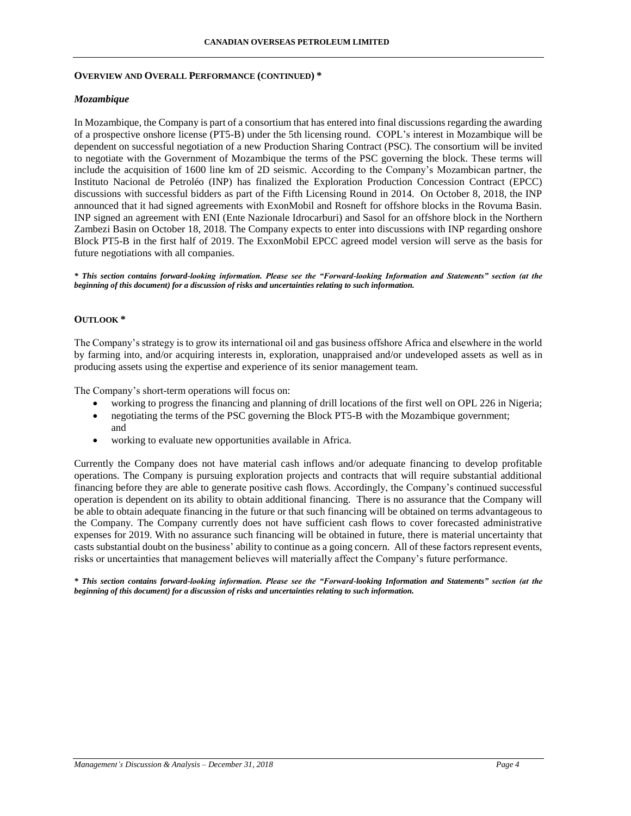### **OVERVIEW AND OVERALL PERFORMANCE (CONTINUED) \***

### *Mozambique*

In Mozambique, the Company is part of a consortium that has entered into final discussions regarding the awarding of a prospective onshore license (PT5-B) under the 5th licensing round. COPL's interest in Mozambique will be dependent on successful negotiation of a new Production Sharing Contract (PSC). The consortium will be invited to negotiate with the Government of Mozambique the terms of the PSC governing the block. These terms will include the acquisition of 1600 line km of 2D seismic. According to the Company's Mozambican partner, the Instituto Nacional de Petroléo (INP) has finalized the Exploration Production Concession Contract (EPCC) discussions with successful bidders as part of the Fifth Licensing Round in 2014. On October 8, 2018, the INP announced that it had signed agreements with ExonMobil and Rosneft for offshore blocks in the Rovuma Basin. INP signed an agreement with ENI (Ente Nazionale Idrocarburi) and Sasol for an offshore block in the Northern Zambezi Basin on October 18, 2018. The Company expects to enter into discussions with INP regarding onshore Block PT5-B in the first half of 2019. The ExxonMobil EPCC agreed model version will serve as the basis for future negotiations with all companies.

*\* This section contains forward-looking information. Please see the "Forward-looking Information and Statements" section (at the beginning of this document) for a discussion of risks and uncertainties relating to such information.*

# **OUTLOOK \***

The Company's strategy is to grow its international oil and gas business offshore Africa and elsewhere in the world by farming into, and/or acquiring interests in, exploration, unappraised and/or undeveloped assets as well as in producing assets using the expertise and experience of its senior management team.

The Company's short-term operations will focus on:

- working to progress the financing and planning of drill locations of the first well on OPL 226 in Nigeria;
- negotiating the terms of the PSC governing the Block PT5-B with the Mozambique government; and
- working to evaluate new opportunities available in Africa.

Currently the Company does not have material cash inflows and/or adequate financing to develop profitable operations. The Company is pursuing exploration projects and contracts that will require substantial additional financing before they are able to generate positive cash flows. Accordingly, the Company's continued successful operation is dependent on its ability to obtain additional financing. There is no assurance that the Company will be able to obtain adequate financing in the future or that such financing will be obtained on terms advantageous to the Company. The Company currently does not have sufficient cash flows to cover forecasted administrative expenses for 2019. With no assurance such financing will be obtained in future, there is material uncertainty that casts substantial doubt on the business' ability to continue as a going concern. All of these factors represent events, risks or uncertainties that management believes will materially affect the Company's future performance.

*\* This section contains forward-looking information. Please see the "Forward-looking Information and Statements" section (at the beginning of this document) for a discussion of risks and uncertainties relating to such information.*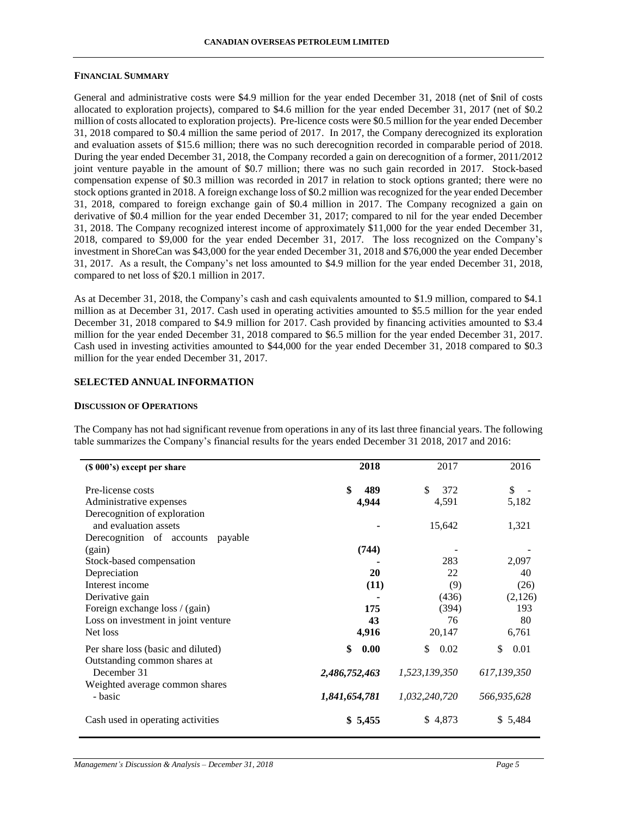#### **FINANCIAL SUMMARY**

General and administrative costs were \$4.9 million for the year ended December 31, 2018 (net of \$nil of costs allocated to exploration projects), compared to \$4.6 million for the year ended December 31, 2017 (net of \$0.2 million of costs allocated to exploration projects). Pre-licence costs were \$0.5 million for the year ended December 31, 2018 compared to \$0.4 million the same period of 2017. In 2017, the Company derecognized its exploration and evaluation assets of \$15.6 million; there was no such derecognition recorded in comparable period of 2018. During the year ended December 31, 2018, the Company recorded a gain on derecognition of a former, 2011/2012 joint venture payable in the amount of \$0.7 million; there was no such gain recorded in 2017. Stock-based compensation expense of \$0.3 million was recorded in 2017 in relation to stock options granted; there were no stock options granted in 2018. A foreign exchange loss of \$0.2 million was recognized for the year ended December 31, 2018, compared to foreign exchange gain of \$0.4 million in 2017. The Company recognized a gain on derivative of \$0.4 million for the year ended December 31, 2017; compared to nil for the year ended December 31, 2018. The Company recognized interest income of approximately \$11,000 for the year ended December 31, 2018, compared to \$9,000 for the year ended December 31, 2017. The loss recognized on the Company's investment in ShoreCan was \$43,000 for the year ended December 31, 2018 and \$76,000 the year ended December 31, 2017. As a result, the Company's net loss amounted to \$4.9 million for the year ended December 31, 2018, compared to net loss of \$20.1 million in 2017.

As at December 31, 2018, the Company's cash and cash equivalents amounted to \$1.9 million, compared to \$4.1 million as at December 31, 2017. Cash used in operating activities amounted to \$5.5 million for the year ended December 31, 2018 compared to \$4.9 million for 2017. Cash provided by financing activities amounted to \$3.4 million for the year ended December 31, 2018 compared to \$6.5 million for the year ended December 31, 2017. Cash used in investing activities amounted to \$44,000 for the year ended December 31, 2018 compared to \$0.3 million for the year ended December 31, 2017.

### **SELECTED ANNUAL INFORMATION**

#### **DISCUSSION OF OPERATIONS**

| (\$ 000's) except per share                                        | 2018          | 2017          | 2016         |
|--------------------------------------------------------------------|---------------|---------------|--------------|
| Pre-license costs                                                  | \$<br>489     | \$<br>372     | $\mathbb{S}$ |
| Administrative expenses                                            | 4,944         | 4,591         | 5,182        |
| Derecognition of exploration                                       |               |               |              |
| and evaluation assets                                              |               | 15,642        | 1,321        |
| Derecognition of accounts payable                                  |               |               |              |
| (gain)                                                             | (744)         |               |              |
| Stock-based compensation                                           |               | 283           | 2,097        |
| Depreciation                                                       | 20            | 22            | 40           |
| Interest income                                                    | (11)          | (9)           | (26)         |
| Derivative gain                                                    |               | (436)         | (2,126)      |
| Foreign exchange loss / (gain)                                     | 175           | (394)         | 193          |
| Loss on investment in joint venture                                | 43            | 76            | 80           |
| Net loss                                                           | 4,916         | 20,147        | 6,761        |
| Per share loss (basic and diluted)<br>Outstanding common shares at | \$<br>0.00    | 0.02<br>\$    | \$<br>0.01   |
| December 31                                                        | 2,486,752,463 | 1,523,139,350 | 617,139,350  |
| Weighted average common shares<br>- basic                          | 1,841,654,781 | 1,032,240,720 | 566,935,628  |
| Cash used in operating activities                                  | \$5,455       | \$4,873       | \$5,484      |
|                                                                    |               |               |              |

The Company has not had significant revenue from operations in any of its last three financial years. The following table summarizes the Company's financial results for the years ended December 31 2018, 2017 and 2016: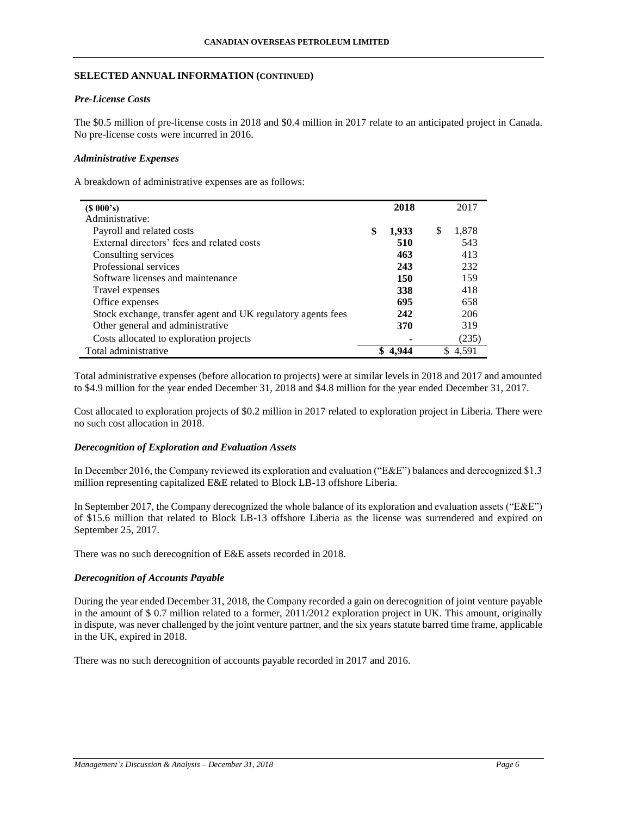### **SELECTED ANNUAL INFORMATION (CONTINUED)**

# *Pre-License Costs*

The \$0.5 million of pre-license costs in 2018 and \$0.4 million in 2017 relate to an anticipated project in Canada. No pre-license costs were incurred in 2016.

### *Administrative Expenses*

A breakdown of administrative expenses are as follows:

| (S 000's)                                                    | 2018        |   | 2017  |
|--------------------------------------------------------------|-------------|---|-------|
| Administrative:                                              |             |   |       |
| Payroll and related costs                                    | \$<br>1,933 | S | 1.878 |
| External directors' fees and related costs                   | 510         |   | 543   |
| Consulting services                                          | 463         |   | 413   |
| Professional services                                        | 243         |   | 232   |
| Software licenses and maintenance                            | 150         |   | 159   |
| Travel expenses                                              | 338         |   | 418   |
| Office expenses                                              | 695         |   | 658   |
| Stock exchange, transfer agent and UK regulatory agents fees | 242         |   | 206   |
| Other general and administrative                             | 370         |   | 319   |
| Costs allocated to exploration projects                      |             |   | (235) |
| Total administrative                                         | 4.944       |   | 4.591 |

Total administrative expenses (before allocation to projects) were at similar levels in 2018 and 2017 and amounted to \$4.9 million for the year ended December 31, 2018 and \$4.8 million for the year ended December 31, 2017.

Cost allocated to exploration projects of \$0.2 million in 2017 related to exploration project in Liberia. There were no such cost allocation in 2018.

#### *Derecognition of Exploration and Evaluation Assets*

In December 2016, the Company reviewed its exploration and evaluation ("E&E") balances and derecognized \$1.3 million representing capitalized E&E related to Block LB-13 offshore Liberia.

In September 2017, the Company derecognized the whole balance of its exploration and evaluation assets ("E&E") of \$15.6 million that related to Block LB-13 offshore Liberia as the license was surrendered and expired on September 25, 2017.

There was no such derecognition of E&E assets recorded in 2018.

# *Derecognition of Accounts Payable*

During the year ended December 31, 2018, the Company recorded a gain on derecognition of joint venture payable in the amount of \$ 0.7 million related to a former, 2011/2012 exploration project in UK. This amount, originally in dispute, was never challenged by the joint venture partner, and the six years statute barred time frame, applicable in the UK, expired in 2018.

There was no such derecognition of accounts payable recorded in 2017 and 2016.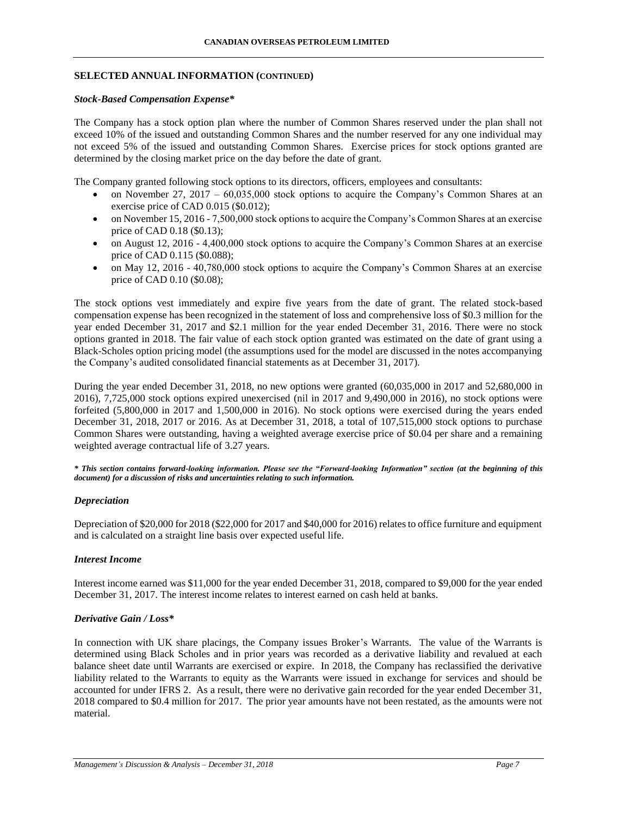### **SELECTED ANNUAL INFORMATION (CONTINUED)**

#### *Stock-Based Compensation Expense\**

The Company has a stock option plan where the number of Common Shares reserved under the plan shall not exceed 10% of the issued and outstanding Common Shares and the number reserved for any one individual may not exceed 5% of the issued and outstanding Common Shares. Exercise prices for stock options granted are determined by the closing market price on the day before the date of grant.

The Company granted following stock options to its directors, officers, employees and consultants:

- on November 27, 2017 60,035,000 stock options to acquire the Company's Common Shares at an exercise price of CAD 0.015 (\$0.012);
- on November 15, 2016 7,500,000 stock options to acquire the Company's Common Shares at an exercise price of CAD 0.18 (\$0.13);
- on August 12, 2016 4,400,000 stock options to acquire the Company's Common Shares at an exercise price of CAD 0.115 (\$0.088);
- on May 12, 2016 40,780,000 stock options to acquire the Company's Common Shares at an exercise price of CAD 0.10 (\$0.08);

The stock options vest immediately and expire five years from the date of grant. The related stock-based compensation expense has been recognized in the statement of loss and comprehensive loss of \$0.3 million for the year ended December 31, 2017 and \$2.1 million for the year ended December 31, 2016. There were no stock options granted in 2018. The fair value of each stock option granted was estimated on the date of grant using a Black-Scholes option pricing model (the assumptions used for the model are discussed in the notes accompanying the Company's audited consolidated financial statements as at December 31, 2017).

During the year ended December 31, 2018, no new options were granted (60,035,000 in 2017 and 52,680,000 in 2016), 7,725,000 stock options expired unexercised (nil in 2017 and 9,490,000 in 2016), no stock options were forfeited (5,800,000 in 2017 and 1,500,000 in 2016). No stock options were exercised during the years ended December 31, 2018, 2017 or 2016. As at December 31, 2018, a total of 107,515,000 stock options to purchase Common Shares were outstanding, having a weighted average exercise price of \$0.04 per share and a remaining weighted average contractual life of 3.27 years.

*\* This section contains forward-looking information. Please see the "Forward-looking Information" section (at the beginning of this document) for a discussion of risks and uncertainties relating to such information.*

#### *Depreciation*

Depreciation of \$20,000 for 2018 (\$22,000 for 2017 and \$40,000 for 2016) relates to office furniture and equipment and is calculated on a straight line basis over expected useful life.

#### *Interest Income*

Interest income earned was \$11,000 for the year ended December 31, 2018, compared to \$9,000 for the year ended December 31, 2017. The interest income relates to interest earned on cash held at banks.

### *Derivative Gain / Loss\**

In connection with UK share placings, the Company issues Broker's Warrants. The value of the Warrants is determined using Black Scholes and in prior years was recorded as a derivative liability and revalued at each balance sheet date until Warrants are exercised or expire. In 2018, the Company has reclassified the derivative liability related to the Warrants to equity as the Warrants were issued in exchange for services and should be accounted for under IFRS 2. As a result, there were no derivative gain recorded for the year ended December 31, 2018 compared to \$0.4 million for 2017. The prior year amounts have not been restated, as the amounts were not material.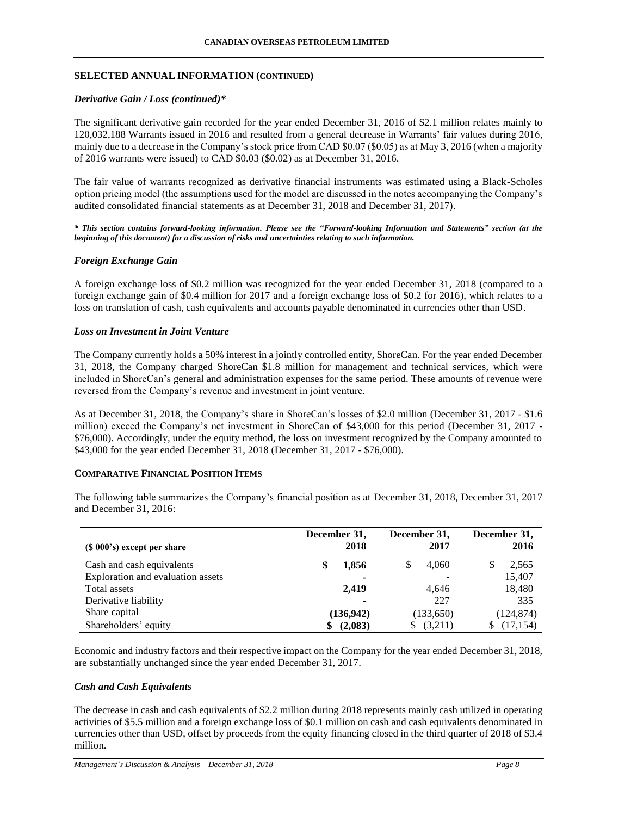### **SELECTED ANNUAL INFORMATION (CONTINUED)**

### *Derivative Gain / Loss (continued)\**

The significant derivative gain recorded for the year ended December 31, 2016 of \$2.1 million relates mainly to 120,032,188 Warrants issued in 2016 and resulted from a general decrease in Warrants' fair values during 2016, mainly due to a decrease in the Company's stock price from CAD \$0.07 (\$0.05) as at May 3, 2016 (when a majority of 2016 warrants were issued) to CAD \$0.03 (\$0.02) as at December 31, 2016.

The fair value of warrants recognized as derivative financial instruments was estimated using a Black-Scholes option pricing model (the assumptions used for the model are discussed in the notes accompanying the Company's audited consolidated financial statements as at December 31, 2018 and December 31, 2017).

*\* This section contains forward-looking information. Please see the "Forward-looking Information and Statements" section (at the beginning of this document) for a discussion of risks and uncertainties relating to such information.*

### *Foreign Exchange Gain*

A foreign exchange loss of \$0.2 million was recognized for the year ended December 31, 2018 (compared to a foreign exchange gain of \$0.4 million for 2017 and a foreign exchange loss of \$0.2 for 2016), which relates to a loss on translation of cash, cash equivalents and accounts payable denominated in currencies other than USD.

#### *Loss on Investment in Joint Venture*

The Company currently holds a 50% interest in a jointly controlled entity, ShoreCan. For the year ended December 31, 2018, the Company charged ShoreCan \$1.8 million for management and technical services, which were included in ShoreCan's general and administration expenses for the same period. These amounts of revenue were reversed from the Company's revenue and investment in joint venture.

As at December 31, 2018, the Company's share in ShoreCan's losses of \$2.0 million (December 31, 2017 - \$1.6 million) exceed the Company's net investment in ShoreCan of \$43,000 for this period (December 31, 2017 - \$76,000). Accordingly, under the equity method, the loss on investment recognized by the Company amounted to \$43,000 for the year ended December 31, 2018 (December 31, 2017 - \$76,000).

#### **COMPARATIVE FINANCIAL POSITION ITEMS**

The following table summarizes the Company's financial position as at December 31, 2018, December 31, 2017 and December 31, 2016:

| $(S 000's)$ except per share      | December 31,<br>2018 | December 31,<br>2017 | December 31,<br>2016 |
|-----------------------------------|----------------------|----------------------|----------------------|
|                                   |                      |                      |                      |
| Cash and cash equivalents         | 1,856                | 4.060                | 2,565                |
| Exploration and evaluation assets |                      |                      | 15,407               |
| Total assets                      | 2,419                | 4.646                | 18,480               |
| Derivative liability              |                      | 227                  | 335                  |
| Share capital                     | (136, 942)           | (133,650)            | (124, 874)           |
| Shareholders' equity              | (2,083)<br>\$        | (3,211)              | (17, 154)            |

Economic and industry factors and their respective impact on the Company for the year ended December 31, 2018, are substantially unchanged since the year ended December 31, 2017.

#### *Cash and Cash Equivalents*

The decrease in cash and cash equivalents of \$2.2 million during 2018 represents mainly cash utilized in operating activities of \$5.5 million and a foreign exchange loss of \$0.1 million on cash and cash equivalents denominated in currencies other than USD, offset by proceeds from the equity financing closed in the third quarter of 2018 of \$3.4 million.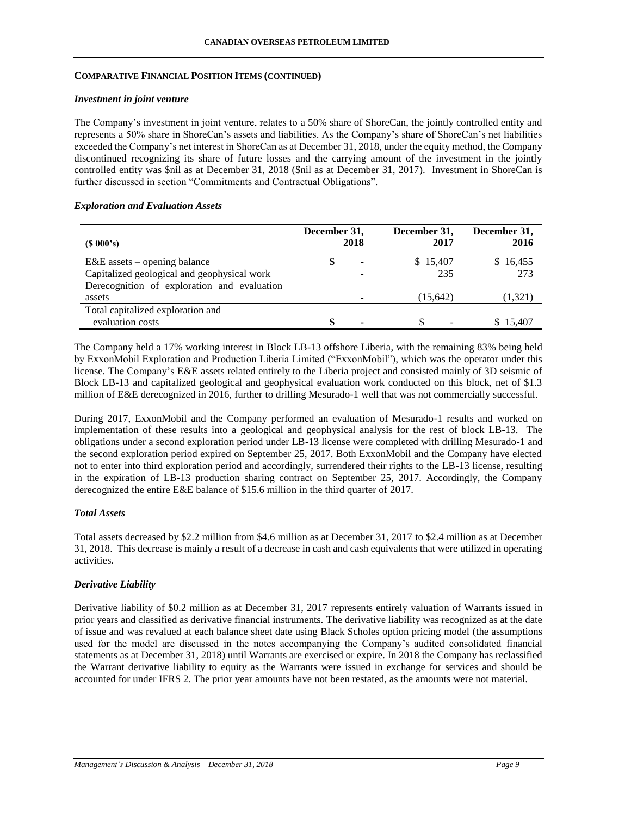### **COMPARATIVE FINANCIAL POSITION ITEMS (CONTINUED)**

#### *Investment in joint venture*

The Company's investment in joint venture, relates to a 50% share of ShoreCan, the jointly controlled entity and represents a 50% share in ShoreCan's assets and liabilities. As the Company's share of ShoreCan's net liabilities exceeded the Company's net interest in ShoreCan as at December 31, 2018, under the equity method, the Company discontinued recognizing its share of future losses and the carrying amount of the investment in the jointly controlled entity was \$nil as at December 31, 2018 (\$nil as at December 31, 2017). Investment in ShoreCan is further discussed in section "Commitments and Contractual Obligations".

#### *Exploration and Evaluation Assets*

| $(S\ 000's)$                                          | December 31, | 2018 | December 31,<br>2017 | December 31,<br>2016 |
|-------------------------------------------------------|--------------|------|----------------------|----------------------|
| $E&E$ assets – opening balance                        | S            | ٠    | \$15,407             | \$16,455             |
| Capitalized geological and geophysical work           |              |      | 235                  | 273                  |
| Derecognition of exploration and evaluation<br>assets |              |      | (15, 642)            | (1,321)              |
| Total capitalized exploration and                     |              |      |                      |                      |
| evaluation costs                                      |              | -    |                      | \$15.407             |

The Company held a 17% working interest in Block LB-13 offshore Liberia, with the remaining 83% being held by ExxonMobil Exploration and Production Liberia Limited ("ExxonMobil"), which was the operator under this license. The Company's E&E assets related entirely to the Liberia project and consisted mainly of 3D seismic of Block LB-13 and capitalized geological and geophysical evaluation work conducted on this block, net of \$1.3 million of E&E derecognized in 2016, further to drilling Mesurado-1 well that was not commercially successful.

During 2017, ExxonMobil and the Company performed an evaluation of Mesurado-1 results and worked on implementation of these results into a geological and geophysical analysis for the rest of block LB-13. The obligations under a second exploration period under LB-13 license were completed with drilling Mesurado-1 and the second exploration period expired on September 25, 2017. Both ExxonMobil and the Company have elected not to enter into third exploration period and accordingly, surrendered their rights to the LB-13 license, resulting in the expiration of LB-13 production sharing contract on September 25, 2017. Accordingly, the Company derecognized the entire E&E balance of \$15.6 million in the third quarter of 2017.

#### *Total Assets*

Total assets decreased by \$2.2 million from \$4.6 million as at December 31, 2017 to \$2.4 million as at December 31, 2018. This decrease is mainly a result of a decrease in cash and cash equivalents that were utilized in operating activities.

#### *Derivative Liability*

Derivative liability of \$0.2 million as at December 31, 2017 represents entirely valuation of Warrants issued in prior years and classified as derivative financial instruments. The derivative liability was recognized as at the date of issue and was revalued at each balance sheet date using Black Scholes option pricing model (the assumptions used for the model are discussed in the notes accompanying the Company's audited consolidated financial statements as at December 31, 2018) until Warrants are exercised or expire. In 2018 the Company has reclassified the Warrant derivative liability to equity as the Warrants were issued in exchange for services and should be accounted for under IFRS 2. The prior year amounts have not been restated, as the amounts were not material.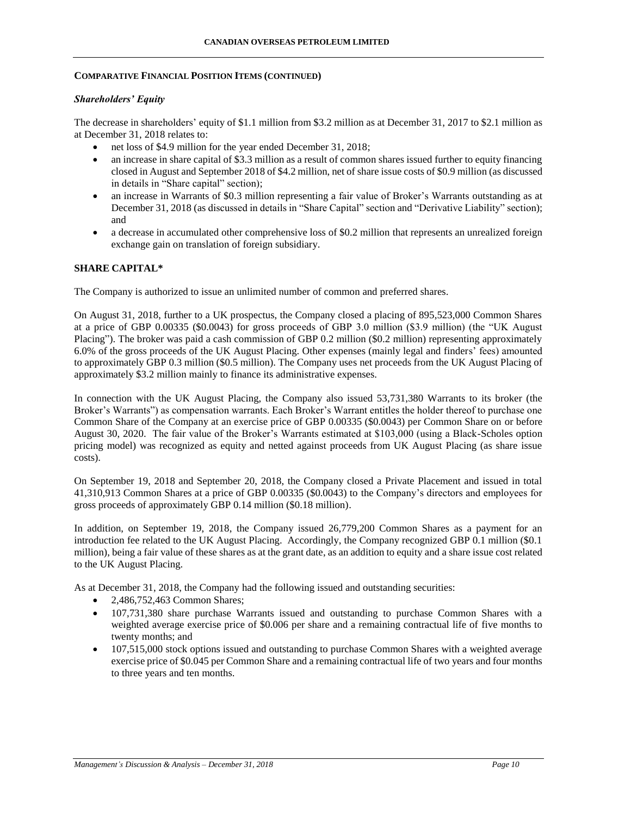### **COMPARATIVE FINANCIAL POSITION ITEMS (CONTINUED)**

### *Shareholders' Equity*

The decrease in shareholders' equity of \$1.1 million from \$3.2 million as at December 31, 2017 to \$2.1 million as at December 31, 2018 relates to:

- net loss of \$4.9 million for the year ended December 31, 2018;
- an increase in share capital of \$3.3 million as a result of common shares issued further to equity financing closed in August and September 2018 of \$4.2 million, net of share issue costs of \$0.9 million (as discussed in details in "Share capital" section);
- an increase in Warrants of \$0.3 million representing a fair value of Broker's Warrants outstanding as at December 31, 2018 (as discussed in details in "Share Capital" section and "Derivative Liability" section); and
- a decrease in accumulated other comprehensive loss of \$0.2 million that represents an unrealized foreign exchange gain on translation of foreign subsidiary.

### **SHARE CAPITAL\***

The Company is authorized to issue an unlimited number of common and preferred shares.

On August 31, 2018, further to a UK prospectus, the Company closed a placing of 895,523,000 Common Shares at a price of GBP 0.00335 (\$0.0043) for gross proceeds of GBP 3.0 million (\$3.9 million) (the "UK August Placing"). The broker was paid a cash commission of GBP 0.2 million (\$0.2 million) representing approximately 6.0% of the gross proceeds of the UK August Placing. Other expenses (mainly legal and finders' fees) amounted to approximately GBP 0.3 million (\$0.5 million). The Company uses net proceeds from the UK August Placing of approximately \$3.2 million mainly to finance its administrative expenses.

In connection with the UK August Placing, the Company also issued 53,731,380 Warrants to its broker (the Broker's Warrants") as compensation warrants. Each Broker's Warrant entitles the holder thereof to purchase one Common Share of the Company at an exercise price of GBP 0.00335 (\$0.0043) per Common Share on or before August 30, 2020. The fair value of the Broker's Warrants estimated at \$103,000 (using a Black-Scholes option pricing model) was recognized as equity and netted against proceeds from UK August Placing (as share issue costs).

On September 19, 2018 and September 20, 2018, the Company closed a Private Placement and issued in total 41,310,913 Common Shares at a price of GBP 0.00335 (\$0.0043) to the Company's directors and employees for gross proceeds of approximately GBP 0.14 million (\$0.18 million).

In addition, on September 19, 2018, the Company issued 26,779,200 Common Shares as a payment for an introduction fee related to the UK August Placing. Accordingly, the Company recognized GBP 0.1 million (\$0.1 million), being a fair value of these shares as at the grant date, as an addition to equity and a share issue cost related to the UK August Placing.

As at December 31, 2018, the Company had the following issued and outstanding securities:

- 2,486,752,463 Common Shares;
- 107,731,380 share purchase Warrants issued and outstanding to purchase Common Shares with a weighted average exercise price of \$0.006 per share and a remaining contractual life of five months to twenty months; and
- 107,515,000 stock options issued and outstanding to purchase Common Shares with a weighted average exercise price of \$0.045 per Common Share and a remaining contractual life of two years and four months to three years and ten months.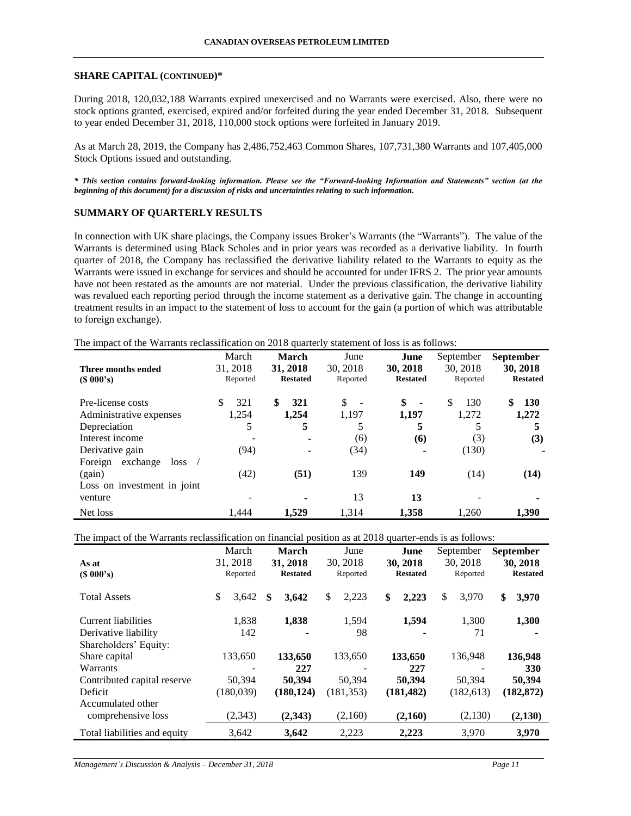#### **SHARE CAPITAL (CONTINUED)\***

During 2018, 120,032,188 Warrants expired unexercised and no Warrants were exercised. Also, there were no stock options granted, exercised, expired and/or forfeited during the year ended December 31, 2018. Subsequent to year ended December 31, 2018, 110,000 stock options were forfeited in January 2019.

As at March 28, 2019, the Company has 2,486,752,463 Common Shares, 107,731,380 Warrants and 107,405,000 Stock Options issued and outstanding.

*\* This section contains forward-looking information. Please see the "Forward-looking Information and Statements" section (at the beginning of this document) for a discussion of risks and uncertainties relating to such information.*

### **SUMMARY OF QUARTERLY RESULTS**

In connection with UK share placings, the Company issues Broker's Warrants (the "Warrants"). The value of the Warrants is determined using Black Scholes and in prior years was recorded as a derivative liability. In fourth quarter of 2018, the Company has reclassified the derivative liability related to the Warrants to equity as the Warrants were issued in exchange for services and should be accounted for under IFRS 2. The prior year amounts have not been restated as the amounts are not material. Under the previous classification, the derivative liability was revalued each reporting period through the income statement as a derivative gain. The change in accounting treatment results in an impact to the statement of loss to account for the gain (a portion of which was attributable to foreign exchange).

The impact of the Warrants reclassification on 2018 quarterly statement of loss is as follows:

| Three months ended          | March<br>31, 2018 | March<br>31, 2018        | June<br>30, 2018 | June<br>30, 2018     | September<br>30.2018 | <b>September</b><br>30, 2018 |
|-----------------------------|-------------------|--------------------------|------------------|----------------------|----------------------|------------------------------|
| $(S\ 000's)$                | Reported          | <b>Restated</b>          | Reported         | <b>Restated</b>      | Reported             | <b>Restated</b>              |
| Pre-license costs           | 321               | \$<br>321                | \$               | \$<br>$\blacksquare$ | \$.<br>130           | \$<br><b>130</b>             |
| Administrative expenses     | 1.254             | 1,254                    | 1.197            | 1.197                | 1.272                | 1.272                        |
| Depreciation                | 5                 | 5                        |                  | 5                    |                      | 5                            |
| Interest income             |                   | $\overline{\phantom{a}}$ | (6)              | (6)                  | (3)                  | (3)                          |
| Derivative gain             | (94)              |                          | (34)             | -                    | (130)                |                              |
| exchange<br>Foreign<br>loss |                   |                          |                  |                      |                      |                              |
| (gain)                      | (42)              | (51)                     | 139              | 149                  | (14)                 | (14)                         |
| Loss on investment in joint |                   |                          |                  |                      |                      |                              |
| venture                     |                   | ۰                        | 13               | 13                   |                      |                              |
| Net loss                    | 1.444             | 1.529                    | 1.314            | 1.358                | 1.260                | 1.390                        |

The impact of the Warrants reclassification on financial position as at 2018 quarter-ends is as follows:

|                              | March       | March           | June        | June            | September   | <b>September</b> |
|------------------------------|-------------|-----------------|-------------|-----------------|-------------|------------------|
| As at                        | 31, 2018    | 31, 2018        | 30, 2018    | 30, 2018        | 30, 2018    | 30, 2018         |
| (S 000's)                    | Reported    | <b>Restated</b> | Reported    | <b>Restated</b> | Reported    | <b>Restated</b>  |
| <b>Total Assets</b>          | \$<br>3,642 | \$<br>3,642     | \$<br>2,223 | \$<br>2,223     | \$<br>3,970 | \$<br>3,970      |
| Current liabilities          | 1,838       | 1,838           | 1,594       | 1,594           | 1.300       | 1,300            |
| Derivative liability         | 142         |                 | 98          |                 | 71          |                  |
| Shareholders' Equity:        |             |                 |             |                 |             |                  |
| Share capital                | 133,650     | 133,650         | 133,650     | 133,650         | 136,948     | 136,948          |
| Warrants                     |             | 227             |             | 227             |             | 330              |
| Contributed capital reserve  | 50,394      | 50.394          | 50,394      | 50.394          | 50,394      | 50,394           |
| Deficit                      | (180,039)   | (180, 124)      | (181, 353)  | (181, 482)      | (182, 613)  | (182, 872)       |
| Accumulated other            |             |                 |             |                 |             |                  |
| comprehensive loss           | (2,343)     | (2,343)         | (2,160)     | (2,160)         | (2,130)     | (2,130)          |
| Total liabilities and equity | 3,642       | 3,642           | 2,223       | 2,223           | 3,970       | 3,970            |

*Management's Discussion & Analysis – December 31, 2018 Page 11*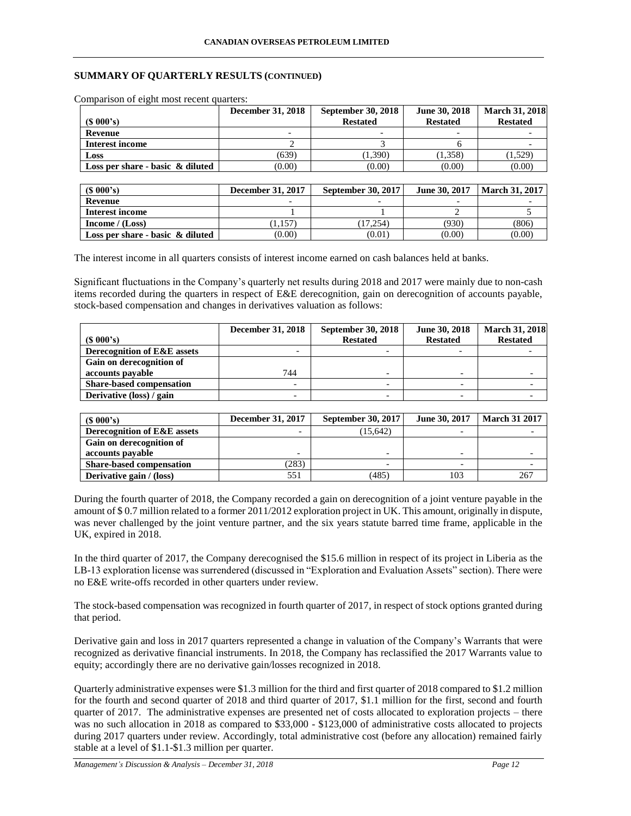### **SUMMARY OF QUARTERLY RESULTS (CONTINUED)**

|                                     | December 31, 2018        | <b>September 30, 2018</b> | June 30, 2018   | <b>March 31, 2018</b> |
|-------------------------------------|--------------------------|---------------------------|-----------------|-----------------------|
| $(S\ 000's)$                        |                          | <b>Restated</b>           | <b>Restated</b> | <b>Restated</b>       |
| Revenue                             | $\overline{\phantom{0}}$ | -                         | -               |                       |
| Interest income                     |                          |                           |                 |                       |
| Loss                                | (639)                    | (1,390)                   | (1,358)         | (1,529)               |
| Loss per share - basic $\&$ diluted | (0.00)                   | (0.00)                    | (0.00)          | (0.00)                |

Comparison of eight most recent quarters:

**(\$ 000's) December 31, 2017 September 30, 2017 June 30, 2017 March 31, 2017 Revenue** - - - - **Interest income** 1 1 1 1 2 5 **Income** / (**Loss**) (1,157) (1,157) (17,254) (930) (806) **Loss per share - basic & diluted** (0.00) (0.00) (0.01) (0.00) (0.00) (0.00)

The interest income in all quarters consists of interest income earned on cash balances held at banks.

Significant fluctuations in the Company's quarterly net results during 2018 and 2017 were mainly due to non-cash items recorded during the quarters in respect of E&E derecognition, gain on derecognition of accounts payable, stock-based compensation and changes in derivatives valuation as follows:

|                                 | December 31, 2018        | <b>September 30, 2018</b> | June 30, 2018   | <b>March 31, 2018</b> |
|---------------------------------|--------------------------|---------------------------|-----------------|-----------------------|
| $(S\ 000's)$                    |                          | <b>Restated</b>           | <b>Restated</b> | <b>Restated</b>       |
| Derecognition of E&E assets     | -                        |                           |                 |                       |
| Gain on derecognition of        |                          |                           |                 |                       |
| accounts payable                | 744                      |                           |                 |                       |
| <b>Share-based compensation</b> | $\overline{\phantom{a}}$ |                           |                 |                       |
| Derivative (loss) / gain        |                          |                           |                 |                       |

| $(S\ 000's)$                    | December 31, 2017 | <b>September 30, 2017</b> | <b>June 30, 2017</b> | <b>March 31 2017</b> |
|---------------------------------|-------------------|---------------------------|----------------------|----------------------|
| Derecognition of E&E assets     |                   | (15.642)                  |                      |                      |
| Gain on derecognition of        |                   |                           |                      |                      |
| accounts payable                |                   | -                         |                      |                      |
| <b>Share-based compensation</b> | (283)             |                           |                      |                      |
| Derivative gain / (loss)        | 551               | (485)                     | 103                  |                      |

During the fourth quarter of 2018, the Company recorded a gain on derecognition of a joint venture payable in the amount of \$ 0.7 million related to a former 2011/2012 exploration project in UK. This amount, originally in dispute, was never challenged by the joint venture partner, and the six years statute barred time frame, applicable in the UK, expired in 2018.

In the third quarter of 2017, the Company derecognised the \$15.6 million in respect of its project in Liberia as the LB-13 exploration license was surrendered (discussed in "Exploration and Evaluation Assets" section). There were no E&E write-offs recorded in other quarters under review.

The stock-based compensation was recognized in fourth quarter of 2017, in respect of stock options granted during that period.

Derivative gain and loss in 2017 quarters represented a change in valuation of the Company's Warrants that were recognized as derivative financial instruments. In 2018, the Company has reclassified the 2017 Warrants value to equity; accordingly there are no derivative gain/losses recognized in 2018.

Quarterly administrative expenses were \$1.3 million for the third and first quarter of 2018 compared to \$1.2 million for the fourth and second quarter of 2018 and third quarter of 2017, \$1.1 million for the first, second and fourth quarter of 2017. The administrative expenses are presented net of costs allocated to exploration projects – there was no such allocation in 2018 as compared to \$33,000 - \$123,000 of administrative costs allocated to projects during 2017 quarters under review. Accordingly, total administrative cost (before any allocation) remained fairly stable at a level of \$1.1-\$1.3 million per quarter.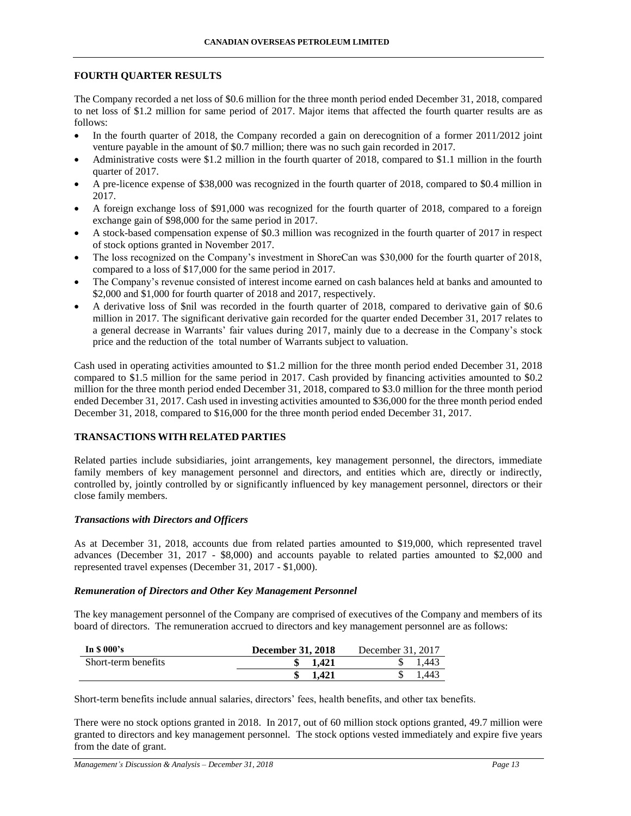### **FOURTH QUARTER RESULTS**

The Company recorded a net loss of \$0.6 million for the three month period ended December 31, 2018, compared to net loss of \$1.2 million for same period of 2017. Major items that affected the fourth quarter results are as follows:

- In the fourth quarter of 2018, the Company recorded a gain on derecognition of a former 2011/2012 joint venture payable in the amount of \$0.7 million; there was no such gain recorded in 2017.
- Administrative costs were \$1.2 million in the fourth quarter of 2018, compared to \$1.1 million in the fourth quarter of 2017.
- A pre-licence expense of \$38,000 was recognized in the fourth quarter of 2018, compared to \$0.4 million in 2017.
- A foreign exchange loss of \$91,000 was recognized for the fourth quarter of 2018, compared to a foreign exchange gain of \$98,000 for the same period in 2017.
- A stock-based compensation expense of \$0.3 million was recognized in the fourth quarter of 2017 in respect of stock options granted in November 2017.
- The loss recognized on the Company's investment in ShoreCan was \$30,000 for the fourth quarter of 2018, compared to a loss of \$17,000 for the same period in 2017.
- The Company's revenue consisted of interest income earned on cash balances held at banks and amounted to \$2,000 and \$1,000 for fourth quarter of 2018 and 2017, respectively.
- A derivative loss of \$nil was recorded in the fourth quarter of 2018, compared to derivative gain of \$0.6 million in 2017. The significant derivative gain recorded for the quarter ended December 31, 2017 relates to a general decrease in Warrants' fair values during 2017, mainly due to a decrease in the Company's stock price and the reduction of the total number of Warrants subject to valuation.

Cash used in operating activities amounted to \$1.2 million for the three month period ended December 31, 2018 compared to \$1.5 million for the same period in 2017. Cash provided by financing activities amounted to \$0.2 million for the three month period ended December 31, 2018, compared to \$3.0 million for the three month period ended December 31, 2017. Cash used in investing activities amounted to \$36,000 for the three month period ended December 31, 2018, compared to \$16,000 for the three month period ended December 31, 2017.

# **TRANSACTIONS WITH RELATED PARTIES**

Related parties include subsidiaries, joint arrangements, key management personnel, the directors, immediate family members of key management personnel and directors, and entities which are, directly or indirectly, controlled by, jointly controlled by or significantly influenced by key management personnel, directors or their close family members.

#### *Transactions with Directors and Officers*

As at December 31, 2018, accounts due from related parties amounted to \$19,000, which represented travel advances (December 31, 2017 - \$8,000) and accounts payable to related parties amounted to \$2,000 and represented travel expenses (December 31, 2017 - \$1,000).

#### *Remuneration of Directors and Other Key Management Personnel*

The key management personnel of the Company are comprised of executives of the Company and members of its board of directors. The remuneration accrued to directors and key management personnel are as follows:

| In $$000's$         | <b>December 31, 2018</b> | December 31, 2017 |
|---------------------|--------------------------|-------------------|
| Short-term benefits | 1.421                    | 1.443             |
|                     | 1.421                    | 1.443             |

Short-term benefits include annual salaries, directors' fees, health benefits, and other tax benefits.

There were no stock options granted in 2018. In 2017, out of 60 million stock options granted, 49.7 million were granted to directors and key management personnel. The stock options vested immediately and expire five years from the date of grant.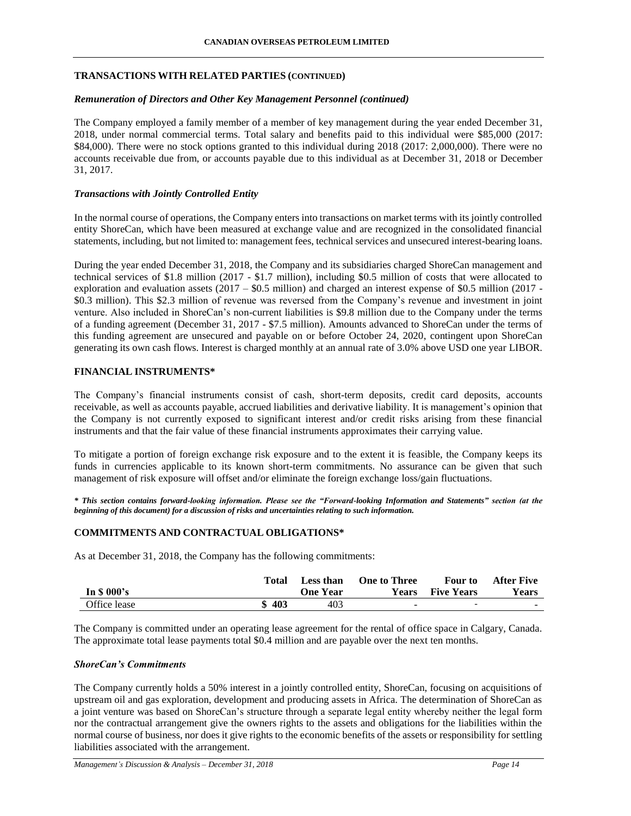### **TRANSACTIONS WITH RELATED PARTIES (CONTINUED)**

#### *Remuneration of Directors and Other Key Management Personnel (continued)*

The Company employed a family member of a member of key management during the year ended December 31, 2018, under normal commercial terms. Total salary and benefits paid to this individual were \$85,000 (2017: \$84,000). There were no stock options granted to this individual during 2018 (2017: 2,000,000). There were no accounts receivable due from, or accounts payable due to this individual as at December 31, 2018 or December 31, 2017.

### *Transactions with Jointly Controlled Entity*

In the normal course of operations, the Company enters into transactions on market terms with its jointly controlled entity ShoreCan, which have been measured at exchange value and are recognized in the consolidated financial statements, including, but not limited to: management fees, technical services and unsecured interest-bearing loans.

During the year ended December 31, 2018, the Company and its subsidiaries charged ShoreCan management and technical services of \$1.8 million (2017 - \$1.7 million), including \$0.5 million of costs that were allocated to exploration and evaluation assets (2017 – \$0.5 million) and charged an interest expense of \$0.5 million (2017 - \$0.3 million). This \$2.3 million of revenue was reversed from the Company's revenue and investment in joint venture. Also included in ShoreCan's non-current liabilities is \$9.8 million due to the Company under the terms of a funding agreement (December 31, 2017 - \$7.5 million). Amounts advanced to ShoreCan under the terms of this funding agreement are unsecured and payable on or before October 24, 2020, contingent upon ShoreCan generating its own cash flows. Interest is charged monthly at an annual rate of 3.0% above USD one year LIBOR.

#### **FINANCIAL INSTRUMENTS\***

The Company's financial instruments consist of cash, short-term deposits, credit card deposits, accounts receivable, as well as accounts payable, accrued liabilities and derivative liability. It is management's opinion that the Company is not currently exposed to significant interest and/or credit risks arising from these financial instruments and that the fair value of these financial instruments approximates their carrying value.

To mitigate a portion of foreign exchange risk exposure and to the extent it is feasible, the Company keeps its funds in currencies applicable to its known short-term commitments. No assurance can be given that such management of risk exposure will offset and/or eliminate the foreign exchange loss/gain fluctuations.

*\* This section contains forward-looking information. Please see the "Forward-looking Information and Statements" section (at the beginning of this document) for a discussion of risks and uncertainties relating to such information.*

# **COMMITMENTS AND CONTRACTUAL OBLIGATIONS\***

As at December 31, 2018, the Company has the following commitments:

|              | Total    | Less than | <b>One to Three</b> | <b>Four</b> to           | <b>After Five</b> |
|--------------|----------|-----------|---------------------|--------------------------|-------------------|
| In $$000's$  |          | One Year  | <b>Years</b>        | <b>Five Years</b>        | <b>Years</b>      |
| Office lease | 403<br>Φ | 403       | -                   | $\overline{\phantom{0}}$ | <u>. на с</u>     |

The Company is committed under an operating lease agreement for the rental of office space in Calgary, Canada. The approximate total lease payments total \$0.4 million and are payable over the next ten months.

### *ShoreCan's Commitments*

The Company currently holds a 50% interest in a jointly controlled entity, ShoreCan, focusing on acquisitions of upstream oil and gas exploration, development and producing assets in Africa. The determination of ShoreCan as a joint venture was based on ShoreCan's structure through a separate legal entity whereby neither the legal form nor the contractual arrangement give the owners rights to the assets and obligations for the liabilities within the normal course of business, nor does it give rights to the economic benefits of the assets or responsibility for settling liabilities associated with the arrangement.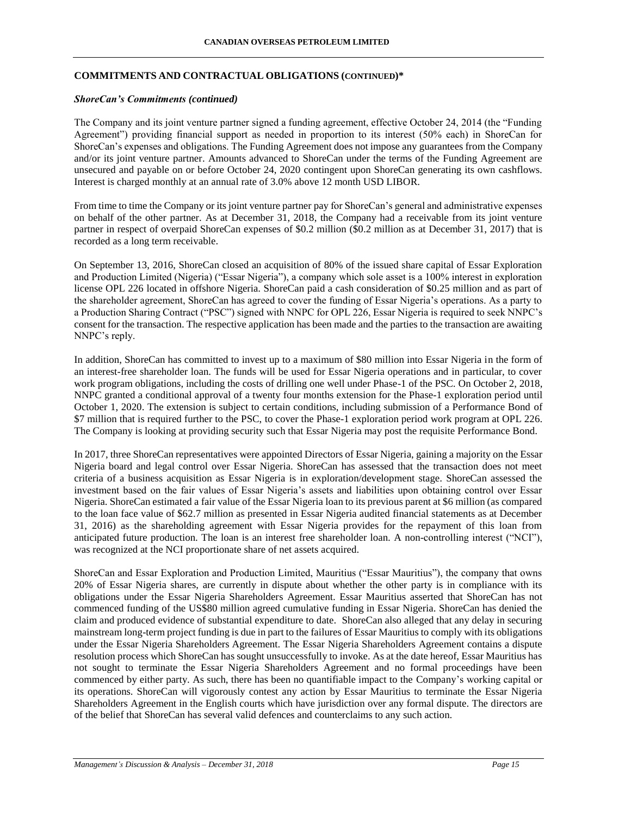### **COMMITMENTS AND CONTRACTUAL OBLIGATIONS (CONTINUED)\***

#### *ShoreCan's Commitments (continued)*

The Company and its joint venture partner signed a funding agreement, effective October 24, 2014 (the "Funding Agreement") providing financial support as needed in proportion to its interest (50% each) in ShoreCan for ShoreCan's expenses and obligations. The Funding Agreement does not impose any guarantees from the Company and/or its joint venture partner. Amounts advanced to ShoreCan under the terms of the Funding Agreement are unsecured and payable on or before October 24, 2020 contingent upon ShoreCan generating its own cashflows. Interest is charged monthly at an annual rate of 3.0% above 12 month USD LIBOR.

From time to time the Company or its joint venture partner pay for ShoreCan's general and administrative expenses on behalf of the other partner. As at December 31, 2018, the Company had a receivable from its joint venture partner in respect of overpaid ShoreCan expenses of \$0.2 million (\$0.2 million as at December 31, 2017) that is recorded as a long term receivable.

On September 13, 2016, ShoreCan closed an acquisition of 80% of the issued share capital of Essar Exploration and Production Limited (Nigeria) ("Essar Nigeria"), a company which sole asset is a 100% interest in exploration license OPL 226 located in offshore Nigeria. ShoreCan paid a cash consideration of \$0.25 million and as part of the shareholder agreement, ShoreCan has agreed to cover the funding of Essar Nigeria's operations. As a party to a Production Sharing Contract ("PSC") signed with NNPC for OPL 226, Essar Nigeria is required to seek NNPC's consent for the transaction. The respective application has been made and the parties to the transaction are awaiting NNPC's reply.

In addition, ShoreCan has committed to invest up to a maximum of \$80 million into Essar Nigeria in the form of an interest-free shareholder loan. The funds will be used for Essar Nigeria operations and in particular, to cover work program obligations, including the costs of drilling one well under Phase-1 of the PSC. On October 2, 2018, NNPC granted a conditional approval of a twenty four months extension for the Phase-1 exploration period until October 1, 2020. The extension is subject to certain conditions, including submission of a Performance Bond of \$7 million that is required further to the PSC, to cover the Phase-1 exploration period work program at OPL 226. The Company is looking at providing security such that Essar Nigeria may post the requisite Performance Bond.

In 2017, three ShoreCan representatives were appointed Directors of Essar Nigeria, gaining a majority on the Essar Nigeria board and legal control over Essar Nigeria. ShoreCan has assessed that the transaction does not meet criteria of a business acquisition as Essar Nigeria is in exploration/development stage. ShoreCan assessed the investment based on the fair values of Essar Nigeria's assets and liabilities upon obtaining control over Essar Nigeria. ShoreCan estimated a fair value of the Essar Nigeria loan to its previous parent at \$6 million (as compared to the loan face value of \$62.7 million as presented in Essar Nigeria audited financial statements as at December 31, 2016) as the shareholding agreement with Essar Nigeria provides for the repayment of this loan from anticipated future production. The loan is an interest free shareholder loan. A non-controlling interest ("NCI"), was recognized at the NCI proportionate share of net assets acquired.

ShoreCan and Essar Exploration and Production Limited, Mauritius ("Essar Mauritius"), the company that owns 20% of Essar Nigeria shares, are currently in dispute about whether the other party is in compliance with its obligations under the Essar Nigeria Shareholders Agreement. Essar Mauritius asserted that ShoreCan has not commenced funding of the US\$80 million agreed cumulative funding in Essar Nigeria. ShoreCan has denied the claim and produced evidence of substantial expenditure to date. ShoreCan also alleged that any delay in securing mainstream long-term project funding is due in part to the failures of Essar Mauritius to comply with its obligations under the Essar Nigeria Shareholders Agreement. The Essar Nigeria Shareholders Agreement contains a dispute resolution process which ShoreCan has sought unsuccessfully to invoke. As at the date hereof, Essar Mauritius has not sought to terminate the Essar Nigeria Shareholders Agreement and no formal proceedings have been commenced by either party. As such, there has been no quantifiable impact to the Company's working capital or its operations. ShoreCan will vigorously contest any action by Essar Mauritius to terminate the Essar Nigeria Shareholders Agreement in the English courts which have jurisdiction over any formal dispute. The directors are of the belief that ShoreCan has several valid defences and counterclaims to any such action.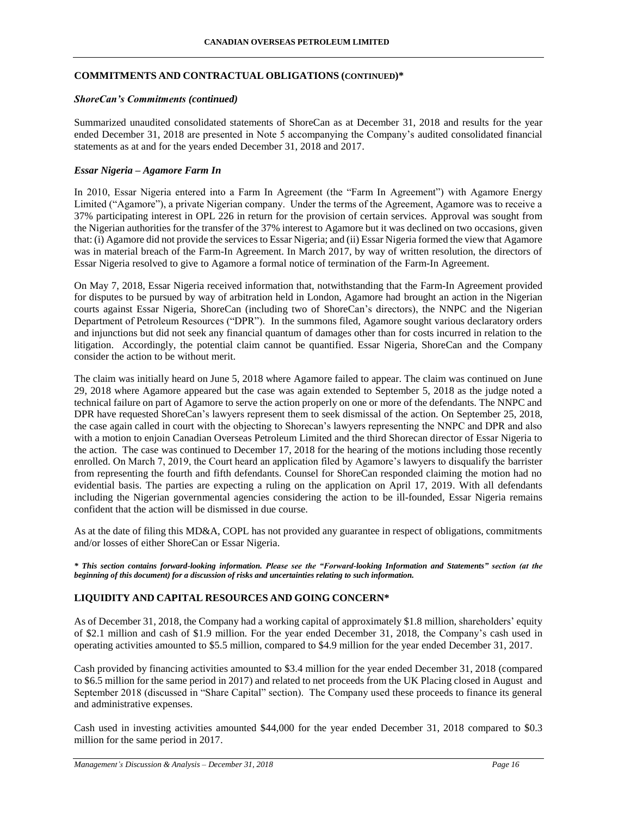### **COMMITMENTS AND CONTRACTUAL OBLIGATIONS (CONTINUED)\***

### *ShoreCan's Commitments (continued)*

Summarized unaudited consolidated statements of ShoreCan as at December 31, 2018 and results for the year ended December 31, 2018 are presented in Note 5 accompanying the Company's audited consolidated financial statements as at and for the years ended December 31, 2018 and 2017.

# *Essar Nigeria – Agamore Farm In*

In 2010, Essar Nigeria entered into a Farm In Agreement (the "Farm In Agreement") with Agamore Energy Limited ("Agamore"), a private Nigerian company. Under the terms of the Agreement, Agamore was to receive a 37% participating interest in OPL 226 in return for the provision of certain services. Approval was sought from the Nigerian authorities for the transfer of the 37% interest to Agamore but it was declined on two occasions, given that: (i) Agamore did not provide the services to Essar Nigeria; and (ii) Essar Nigeria formed the view that Agamore was in material breach of the Farm-In Agreement. In March 2017, by way of written resolution, the directors of Essar Nigeria resolved to give to Agamore a formal notice of termination of the Farm-In Agreement.

On May 7, 2018, Essar Nigeria received information that, notwithstanding that the Farm-In Agreement provided for disputes to be pursued by way of arbitration held in London, Agamore had brought an action in the Nigerian courts against Essar Nigeria, ShoreCan (including two of ShoreCan's directors), the NNPC and the Nigerian Department of Petroleum Resources ("DPR"). In the summons filed, Agamore sought various declaratory orders and injunctions but did not seek any financial quantum of damages other than for costs incurred in relation to the litigation. Accordingly, the potential claim cannot be quantified. Essar Nigeria, ShoreCan and the Company consider the action to be without merit.

The claim was initially heard on June 5, 2018 where Agamore failed to appear. The claim was continued on June 29, 2018 where Agamore appeared but the case was again extended to September 5, 2018 as the judge noted a technical failure on part of Agamore to serve the action properly on one or more of the defendants. The NNPC and DPR have requested ShoreCan's lawyers represent them to seek dismissal of the action. On September 25, 2018, the case again called in court with the objecting to Shorecan's lawyers representing the NNPC and DPR and also with a motion to enjoin Canadian Overseas Petroleum Limited and the third Shorecan director of Essar Nigeria to the action. The case was continued to December 17, 2018 for the hearing of the motions including those recently enrolled. On March 7, 2019, the Court heard an application filed by Agamore's lawyers to disqualify the barrister from representing the fourth and fifth defendants. Counsel for ShoreCan responded claiming the motion had no evidential basis. The parties are expecting a ruling on the application on April 17, 2019. With all defendants including the Nigerian governmental agencies considering the action to be ill-founded, Essar Nigeria remains confident that the action will be dismissed in due course.

As at the date of filing this MD&A, COPL has not provided any guarantee in respect of obligations, commitments and/or losses of either ShoreCan or Essar Nigeria.

*\* This section contains forward-looking information. Please see the "Forward-looking Information and Statements" section (at the beginning of this document) for a discussion of risks and uncertainties relating to such information.*

# **LIQUIDITY AND CAPITAL RESOURCES AND GOING CONCERN\***

As of December 31, 2018, the Company had a working capital of approximately \$1.8 million, shareholders' equity of \$2.1 million and cash of \$1.9 million. For the year ended December 31, 2018, the Company's cash used in operating activities amounted to \$5.5 million, compared to \$4.9 million for the year ended December 31, 2017.

Cash provided by financing activities amounted to \$3.4 million for the year ended December 31, 2018 (compared to \$6.5 million for the same period in 2017) and related to net proceeds from the UK Placing closed in August and September 2018 (discussed in "Share Capital" section). The Company used these proceeds to finance its general and administrative expenses.

Cash used in investing activities amounted \$44,000 for the year ended December 31, 2018 compared to \$0.3 million for the same period in 2017.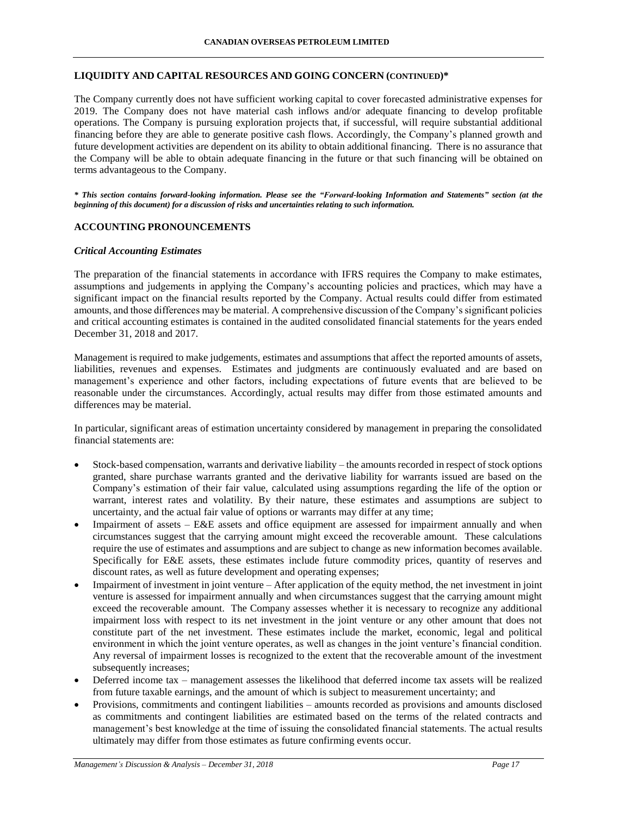### **LIQUIDITY AND CAPITAL RESOURCES AND GOING CONCERN (CONTINUED)\***

The Company currently does not have sufficient working capital to cover forecasted administrative expenses for 2019. The Company does not have material cash inflows and/or adequate financing to develop profitable operations. The Company is pursuing exploration projects that, if successful, will require substantial additional financing before they are able to generate positive cash flows. Accordingly, the Company's planned growth and future development activities are dependent on its ability to obtain additional financing. There is no assurance that the Company will be able to obtain adequate financing in the future or that such financing will be obtained on terms advantageous to the Company.

*\* This section contains forward-looking information. Please see the "Forward-looking Information and Statements" section (at the beginning of this document) for a discussion of risks and uncertainties relating to such information.*

# **ACCOUNTING PRONOUNCEMENTS**

#### *Critical Accounting Estimates*

The preparation of the financial statements in accordance with IFRS requires the Company to make estimates, assumptions and judgements in applying the Company's accounting policies and practices, which may have a significant impact on the financial results reported by the Company. Actual results could differ from estimated amounts, and those differences may be material. A comprehensive discussion of the Company's significant policies and critical accounting estimates is contained in the audited consolidated financial statements for the years ended December 31, 2018 and 2017.

Management is required to make judgements, estimates and assumptions that affect the reported amounts of assets, liabilities, revenues and expenses. Estimates and judgments are continuously evaluated and are based on management's experience and other factors, including expectations of future events that are believed to be reasonable under the circumstances. Accordingly, actual results may differ from those estimated amounts and differences may be material.

In particular, significant areas of estimation uncertainty considered by management in preparing the consolidated financial statements are:

- Stock-based compensation, warrants and derivative liability the amounts recorded in respect of stock options granted, share purchase warrants granted and the derivative liability for warrants issued are based on the Company's estimation of their fair value, calculated using assumptions regarding the life of the option or warrant, interest rates and volatility. By their nature, these estimates and assumptions are subject to uncertainty, and the actual fair value of options or warrants may differ at any time;
- Impairment of assets E&E assets and office equipment are assessed for impairment annually and when circumstances suggest that the carrying amount might exceed the recoverable amount. These calculations require the use of estimates and assumptions and are subject to change as new information becomes available. Specifically for E&E assets, these estimates include future commodity prices, quantity of reserves and discount rates, as well as future development and operating expenses;
- Impairment of investment in joint venture After application of the equity method, the net investment in joint venture is assessed for impairment annually and when circumstances suggest that the carrying amount might exceed the recoverable amount. The Company assesses whether it is necessary to recognize any additional impairment loss with respect to its net investment in the joint venture or any other amount that does not constitute part of the net investment. These estimates include the market, economic, legal and political environment in which the joint venture operates, as well as changes in the joint venture's financial condition. Any reversal of impairment losses is recognized to the extent that the recoverable amount of the investment subsequently increases;
- Deferred income tax management assesses the likelihood that deferred income tax assets will be realized from future taxable earnings, and the amount of which is subject to measurement uncertainty; and
- Provisions, commitments and contingent liabilities amounts recorded as provisions and amounts disclosed as commitments and contingent liabilities are estimated based on the terms of the related contracts and management's best knowledge at the time of issuing the consolidated financial statements. The actual results ultimately may differ from those estimates as future confirming events occur.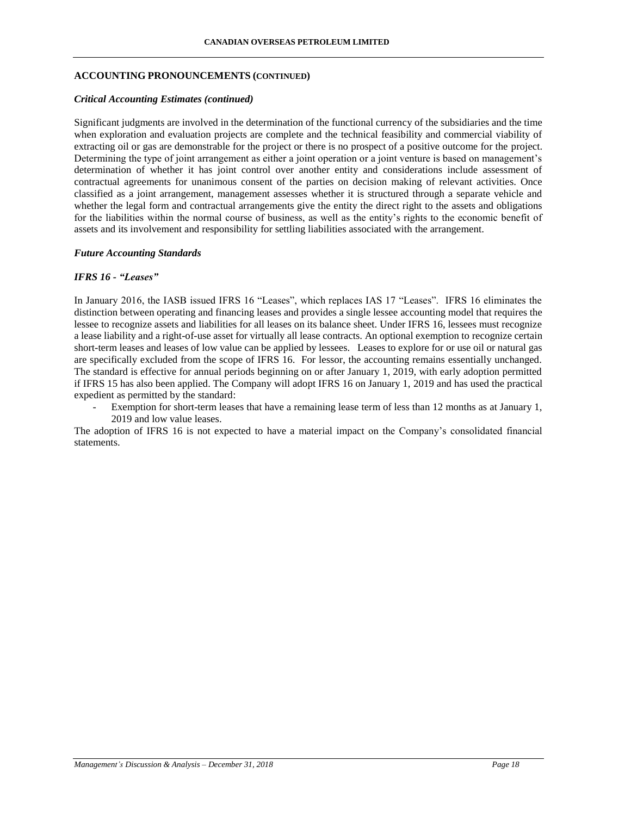### **ACCOUNTING PRONOUNCEMENTS (CONTINUED)**

#### *Critical Accounting Estimates (continued)*

Significant judgments are involved in the determination of the functional currency of the subsidiaries and the time when exploration and evaluation projects are complete and the technical feasibility and commercial viability of extracting oil or gas are demonstrable for the project or there is no prospect of a positive outcome for the project. Determining the type of joint arrangement as either a joint operation or a joint venture is based on management's determination of whether it has joint control over another entity and considerations include assessment of contractual agreements for unanimous consent of the parties on decision making of relevant activities. Once classified as a joint arrangement, management assesses whether it is structured through a separate vehicle and whether the legal form and contractual arrangements give the entity the direct right to the assets and obligations for the liabilities within the normal course of business, as well as the entity's rights to the economic benefit of assets and its involvement and responsibility for settling liabilities associated with the arrangement.

#### *Future Accounting Standards*

#### *IFRS 16 - "Leases"*

In January 2016, the IASB issued IFRS 16 "Leases", which replaces IAS 17 "Leases". IFRS 16 eliminates the distinction between operating and financing leases and provides a single lessee accounting model that requires the lessee to recognize assets and liabilities for all leases on its balance sheet. Under IFRS 16, lessees must recognize a lease liability and a right-of-use asset for virtually all lease contracts. An optional exemption to recognize certain short-term leases and leases of low value can be applied by lessees. Leases to explore for or use oil or natural gas are specifically excluded from the scope of IFRS 16. For lessor, the accounting remains essentially unchanged. The standard is effective for annual periods beginning on or after January 1, 2019, with early adoption permitted if IFRS 15 has also been applied. The Company will adopt IFRS 16 on January 1, 2019 and has used the practical expedient as permitted by the standard:

Exemption for short-term leases that have a remaining lease term of less than 12 months as at January 1, 2019 and low value leases.

The adoption of IFRS 16 is not expected to have a material impact on the Company's consolidated financial statements.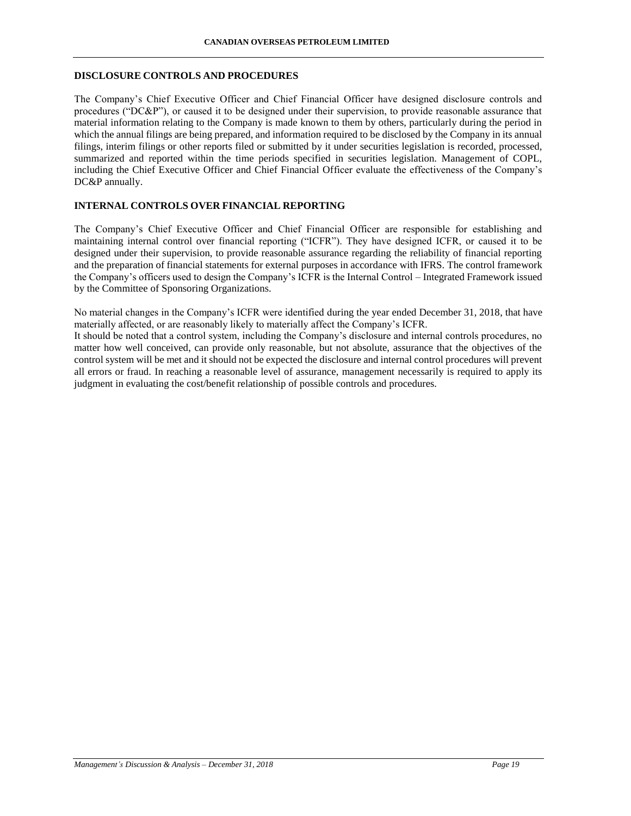### **DISCLOSURE CONTROLS AND PROCEDURES**

The Company's Chief Executive Officer and Chief Financial Officer have designed disclosure controls and procedures ("DC&P"), or caused it to be designed under their supervision, to provide reasonable assurance that material information relating to the Company is made known to them by others, particularly during the period in which the annual filings are being prepared, and information required to be disclosed by the Company in its annual filings, interim filings or other reports filed or submitted by it under securities legislation is recorded, processed, summarized and reported within the time periods specified in securities legislation. Management of COPL, including the Chief Executive Officer and Chief Financial Officer evaluate the effectiveness of the Company's DC&P annually.

# **INTERNAL CONTROLS OVER FINANCIAL REPORTING**

The Company's Chief Executive Officer and Chief Financial Officer are responsible for establishing and maintaining internal control over financial reporting ("ICFR"). They have designed ICFR, or caused it to be designed under their supervision, to provide reasonable assurance regarding the reliability of financial reporting and the preparation of financial statements for external purposes in accordance with IFRS. The control framework the Company's officers used to design the Company's ICFR is the Internal Control – Integrated Framework issued by the Committee of Sponsoring Organizations.

No material changes in the Company's ICFR were identified during the year ended December 31, 2018, that have materially affected, or are reasonably likely to materially affect the Company's ICFR.

It should be noted that a control system, including the Company's disclosure and internal controls procedures, no matter how well conceived, can provide only reasonable, but not absolute, assurance that the objectives of the control system will be met and it should not be expected the disclosure and internal control procedures will prevent all errors or fraud. In reaching a reasonable level of assurance, management necessarily is required to apply its judgment in evaluating the cost/benefit relationship of possible controls and procedures.